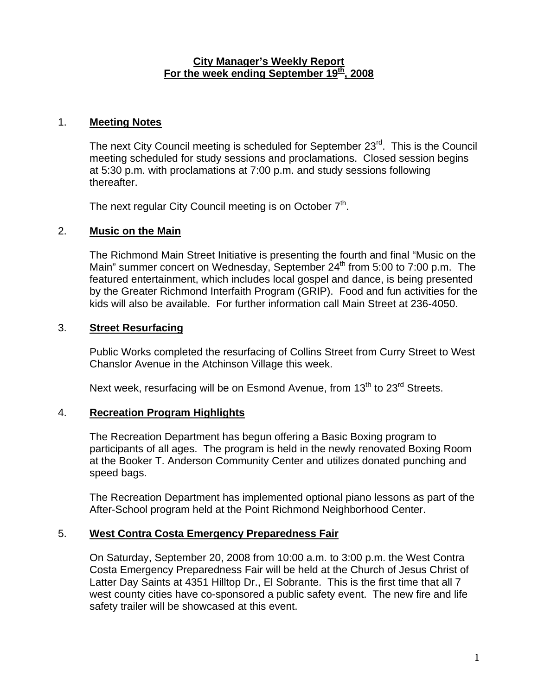### **City Manager's Weekly Report** For the week ending September 19<sup>th</sup>, 2008

## 1. **Meeting Notes**

The next City Council meeting is scheduled for September 23<sup>rd</sup>. This is the Council meeting scheduled for study sessions and proclamations. Closed session begins at 5:30 p.m. with proclamations at 7:00 p.m. and study sessions following thereafter.

The next regular City Council meeting is on October  $7<sup>th</sup>$ .

# 2. **Music on the Main**

The Richmond Main Street Initiative is presenting the fourth and final "Music on the Main" summer concert on Wednesday, September  $24<sup>th</sup>$  from 5:00 to 7:00 p.m. The featured entertainment, which includes local gospel and dance, is being presented by the Greater Richmond Interfaith Program (GRIP). Food and fun activities for the kids will also be available. For further information call Main Street at 236-4050.

### 3. **Street Resurfacing**

Public Works completed the resurfacing of Collins Street from Curry Street to West Chanslor Avenue in the Atchinson Village this week.

Next week, resurfacing will be on Esmond Avenue, from 13<sup>th</sup> to 23<sup>rd</sup> Streets.

# 4. **Recreation Program Highlights**

The Recreation Department has begun offering a Basic Boxing program to participants of all ages. The program is held in the newly renovated Boxing Room at the Booker T. Anderson Community Center and utilizes donated punching and speed bags.

The Recreation Department has implemented optional piano lessons as part of the After-School program held at the Point Richmond Neighborhood Center.

### 5. **West Contra Costa Emergency Preparedness Fair**

On Saturday, September 20, 2008 from 10:00 a.m. to 3:00 p.m. the West Contra Costa Emergency Preparedness Fair will be held at the Church of Jesus Christ of Latter Day Saints at 4351 Hilltop Dr., El Sobrante. This is the first time that all 7 west county cities have co-sponsored a public safety event. The new fire and life safety trailer will be showcased at this event.